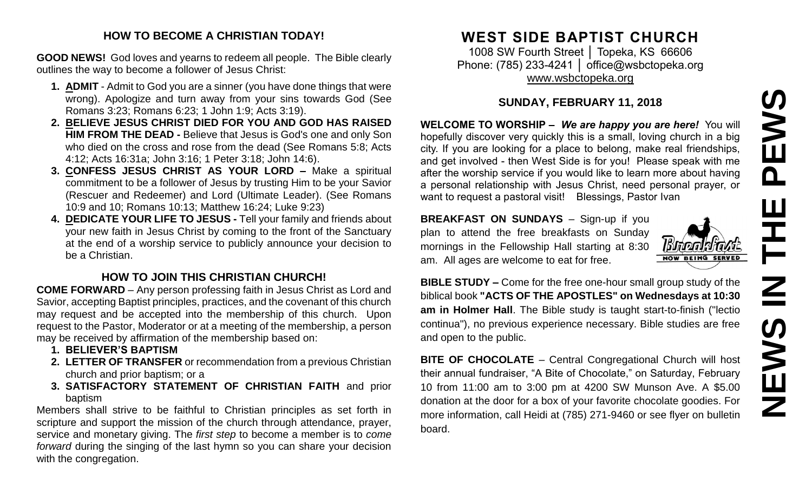# **NEWS IN THE PEWS**PEWS 픈  $\overline{\mathsf{z}}$ EWS Z

#### **HOW TO BECOME A CHRISTIAN TODAY!**

**GOOD NEWS!** God loves and yearns to redeem all people. The Bible clearly outlines the way to become a follower of Jesus Christ:

- **1. ADMIT** Admit to God you are a sinner (you have done things that were wrong). Apologize and turn away from your sins towards God (See Romans 3:23; Romans 6:23; 1 John 1:9; Acts 3:19).
- **2. BELIEVE JESUS CHRIST DIED FOR YOU AND GOD HAS RAISED HIM FROM THE DEAD -** Believe that Jesus is God's one and only Son who died on the cross and rose from the dead (See Romans 5:8; Acts 4:12; Acts 16:31a; John 3:16; 1 Peter 3:18; John 14:6).
- **3. CONFESS JESUS CHRIST AS YOUR LORD –** Make a spiritual commitment to be a follower of Jesus by trusting Him to be your Savior (Rescuer and Redeemer) and Lord (Ultimate Leader). (See Romans 10:9 and 10; Romans 10:13; Matthew 16:24; Luke 9:23)
- **4. DEDICATE YOUR LIFE TO JESUS -** Tell your family and friends about your new faith in Jesus Christ by coming to the front of the Sanctuary at the end of a worship service to publicly announce your decision to be a Christian.

## **HOW TO JOIN THIS CHRISTIAN CHURCH!**

**COME FORWARD** – Any person professing faith in Jesus Christ as Lord and Savior, accepting Baptist principles, practices, and the covenant of this church may request and be accepted into the membership of this church. Upon request to the Pastor, Moderator or at a meeting of the membership, a person may be received by affirmation of the membership based on:

- **1. BELIEVER'S BAPTISM**
- **2. LETTER OF TRANSFER** or recommendation from a previous Christian church and prior baptism; or a
- **3. SATISFACTORY STATEMENT OF CHRISTIAN FAITH** and prior baptism

Members shall strive to be faithful to Christian principles as set forth in scripture and support the mission of the church through attendance, prayer, service and monetary giving. The *first step* to become a member is to *come forward* during the singing of the last hymn so you can share your decision with the congregation.

# **WEST SIDE BAPTIST CHURCH**

1008 SW Fourth Street | Topeka, KS 66606 Phone: (785) 233-4241 │ [office@wsbctopeka.org](mailto:office@wsbctopeka.org) [www.wsbctopeka.org](http://www.wsbctopeka.org/)

### **SUNDAY, FEBRUARY 11, 2018**

**WELCOME TO WORSHIP –** *We are happy you are here!* You will hopefully discover very quickly this is a small, loving church in a big city. If you are looking for a place to belong, make real friendships, and get involved - then West Side is for you! Please speak with me after the worship service if you would like to learn more about having a personal relationship with Jesus Christ, need personal prayer, or want to request a pastoral visit! Blessings, Pastor Ivan

**BREAKFAST ON SUNDAYS** - Sign-up if you plan to attend the free breakfasts on Sunday mornings in the Fellowship Hall starting at 8:30 am. All ages are welcome to eat for free.



**BIBLE STUDY –** Come for the free one-hour small group study of the biblical book **"ACTS OF THE APOSTLES" on Wednesdays at 10:30 am in Holmer Hall**. The Bible study is taught start-to-finish ("lectio continua"), no previous experience necessary. Bible studies are free and open to the public.

**BITE OF CHOCOLATE** – Central Congregational Church will host their annual fundraiser, "A Bite of Chocolate," on Saturday, February 10 from 11:00 am to 3:00 pm at 4200 SW Munson Ave. A \$5.00 donation at the door for a box of your favorite chocolate goodies. For more information, call Heidi at (785) 271-9460 or see flyer on bulletin board.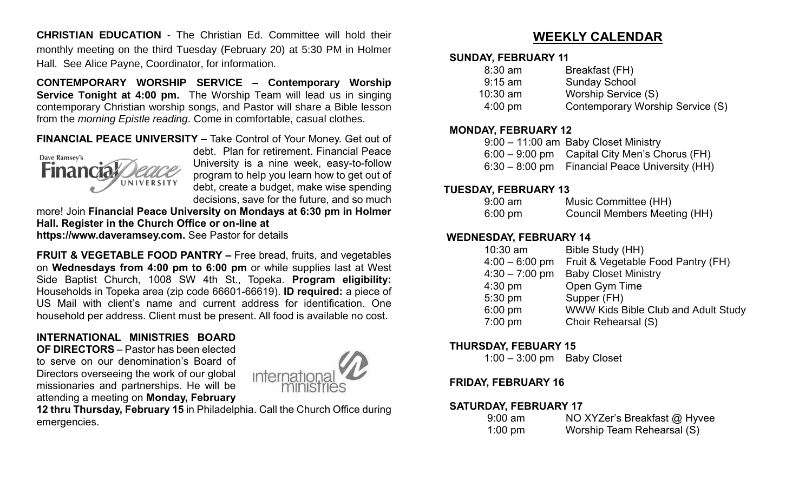**CHRISTIAN EDUCATION** - The Christian Ed. Committee will hold their monthly meeting on the third Tuesday (February 20) at 5:30 PM in Holmer Hall. See Alice Payne, Coordinator, for information.

**CONTEMPORARY WORSHIP SERVICE – Contemporary Worship Service Tonight at 4:00 pm.** The Worship Team will lead us in singing contemporary Christian worship songs, and Pastor will share a Bible lesson from the *morning Epistle reading*. Come in comfortable, casual clothes.

#### **FINANCIAL PEACE UNIVERSITY –** Take Control of Your Money. Get out of



debt. Plan for retirement. Financial Peace University is a nine week, easy-to-follow program to help you learn how to get out of debt, create a budget, make wise spending decisions, save for the future, and so much

more! Join **Financial Peace University on Mondays at 6:30 pm in Holmer Hall. Register in the Church Office or on-line at**

**https://www.daveramsey.com.** See Pastor for details

**FRUIT & VEGETABLE FOOD PANTRY –** Free bread, fruits, and vegetables on **Wednesdays from 4:00 pm to 6:00 pm** or while supplies last at West Side Baptist Church, 1008 SW 4th St., Topeka. **Program eligibility:**  Households in Topeka area (zip code 66601-66619). **ID required:** a piece of US Mail with client's name and current address for identification. One household per address. Client must be present. All food is available no cost.

#### **INTERNATIONAL MINISTRIES BOARD**

**OF DIRECTORS** – Pastor has been elected to serve on our denomination's Board of Directors overseeing the work of our global missionaries and partnerships. He will be attending a meeting on **Monday, February** 



**12 thru Thursday, February 15** in Philadelphia. Call the Church Office during emergencies.

## **WEEKLY CALENDAR**

#### **SUNDAY, FEBRUARY 11**

| Breakfast (FH)                   |
|----------------------------------|
| <b>Sunday School</b>             |
| Worship Service (S)              |
| Contemporary Worship Service (S) |
|                                  |

#### **MONDAY, FEBRUARY 12**

| $9:00 - 11:00$ am Baby Closet Ministry           |
|--------------------------------------------------|
| $6:00 - 9:00$ pm Capital City Men's Chorus (FH)  |
| $6:30 - 8:00$ pm Financial Peace University (HH) |

#### **TUESDAY, FEBRUARY 13**

| $9:00$ am         | Music Committee (HH)                |
|-------------------|-------------------------------------|
| $6:00 \text{ pm}$ | <b>Council Members Meeting (HH)</b> |

#### **WEDNESDAY, FEBRUARY 14**

| $10:30$ am       | Bible Study (HH)                    |
|------------------|-------------------------------------|
| $4:00 - 6:00$ pm | Fruit & Vegetable Food Pantry (FH)  |
| $4:30 - 7:00$ pm | <b>Baby Closet Ministry</b>         |
| $4:30$ pm        | Open Gym Time                       |
| 5:30 pm          | Supper (FH)                         |
| $6:00$ pm        | WWW Kids Bible Club and Adult Study |
| 7:00 pm          | Choir Rehearsal (S)                 |
|                  |                                     |

#### **THURSDAY, FEBUARY 15**

1:00 – 3:00 pm Baby Closet

#### **FRIDAY, FEBRUARY 16**

#### **SATURDAY, FEBRUARY 17**

| $9:00$ am | NO XYZer's Breakfast @ Hyvee |
|-----------|------------------------------|
| $1:00$ pm | Worship Team Rehearsal (S)   |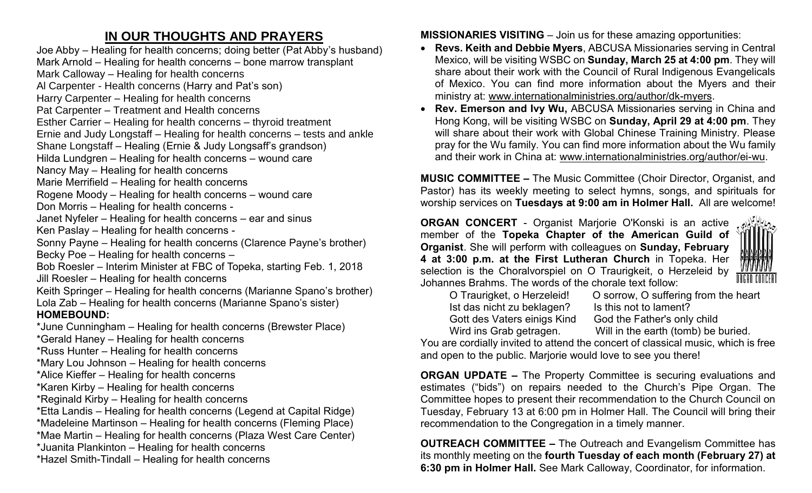# **IN OUR THOUGHTS AND PRAYERS**

Joe Abby – Healing for health concerns; doing better (Pat Abby's husband) Mark Arnold – Healing for health concerns – bone marrow transplant Mark Calloway – Healing for health concerns Al Carpenter - Health concerns (Harry and Pat's son) Harry Carpenter – Healing for health concerns Pat Carpenter – Treatment and Health concerns Esther Carrier – Healing for health concerns – thyroid treatment Ernie and Judy Longstaff – Healing for health concerns – tests and ankle Shane Longstaff – Healing (Ernie & Judy Longsaff's grandson) Hilda Lundgren – Healing for health concerns – wound care Nancy May – Healing for health concerns Marie Merrifield – Healing for health concerns Rogene Moody – Healing for health concerns – wound care Don Morris – Healing for health concerns - Janet Nyfeler – Healing for health concerns – ear and sinus Ken Paslay – Healing for health concerns - Sonny Payne – Healing for health concerns (Clarence Payne's brother) Becky Poe – Healing for health concerns – Bob Roesler – Interim Minister at FBC of Topeka, starting Feb. 1, 2018 Jill Roesler – Healing for health concerns Keith Springer – Healing for health concerns (Marianne Spano's brother) Lola Zab – Healing for health concerns (Marianne Spano's sister) **HOMEBOUND:** \*June Cunningham – Healing for health concerns (Brewster Place) \*Gerald Haney – Healing for health concerns \*Russ Hunter – Healing for health concerns \*Mary Lou Johnson – Healing for health concerns \*Alice Kieffer – Healing for health concerns \*Karen Kirby – Healing for health concerns \*Reginald Kirby – Healing for health concerns \*Etta Landis – Healing for health concerns (Legend at Capital Ridge) \*Madeleine Martinson – Healing for health concerns (Fleming Place) \*Mae Martin – Healing for health concerns (Plaza West Care Center) \*Juanita Plankinton – Healing for health concerns

\*Hazel Smith-Tindall – Healing for health concerns

**MISSIONARIES VISITING** – Join us for these amazing opportunities:

- **Revs. Keith and Debbie Myers**, ABCUSA Missionaries serving in Central Mexico, will be visiting WSBC on **Sunday, March 25 at 4:00 pm**. They will share about their work with the Council of Rural Indigenous Evangelicals of Mexico. You can find more information about the Myers and their ministry at: [www.internationalministries.org/author/dk-myers.](http://www.internationalministries.org/author/dk-myers)
- **Rev. Emerson and Ivy Wu,** ABCUSA Missionaries serving in China and Hong Kong, will be visiting WSBC on **Sunday, April 29 at 4:00 pm**. They will share about their work with Global Chinese Training Ministry. Please pray for the Wu family. You can find more information about the Wu family and their work in China at: [www.internationalministries.org/author/ei-wu.](http://www.internationalministries.org/author/ei-wu)

**MUSIC COMMITTEE –** The Music Committee (Choir Director, Organist, and Pastor) has its weekly meeting to select hymns, songs, and spirituals for worship services on **Tuesdays at 9:00 am in Holmer Hall.** All are welcome!

**ORGAN CONCERT** - Organist Marjorie O'Konski is an active member of the **Topeka Chapter of the American Guild of Organist**. She will perform with colleagues on **Sunday, February 4 at 3:00 p.m. at the First Lutheran Church** in Topeka. Her selection is the Choralvorspiel on O Traurigkeit, o Herzeleid by Johannes Brahms. The words of the chorale text follow:

| O Traurigket, o Herzeleid!  |  |
|-----------------------------|--|
| Ist das nicht zu beklagen?  |  |
| Gott des Vaters einigs Kind |  |
| Wird ins Grab getragen.     |  |

O sorrow, O suffering from the heart Is this not to lament? God the Father's only child Will in the earth (tomb) be buried.

You are cordially invited to attend the concert of classical music, which is free and open to the public. Marjorie would love to see you there!

**ORGAN UPDATE –** The Property Committee is securing evaluations and estimates ("bids") on repairs needed to the Church's Pipe Organ. The Committee hopes to present their recommendation to the Church Council on Tuesday, February 13 at 6:00 pm in Holmer Hall. The Council will bring their recommendation to the Congregation in a timely manner.

**OUTREACH COMMITTEE –** The Outreach and Evangelism Committee has its monthly meeting on the **fourth Tuesday of each month (February 27) at 6:30 pm in Holmer Hall.** See Mark Calloway, Coordinator, for information.